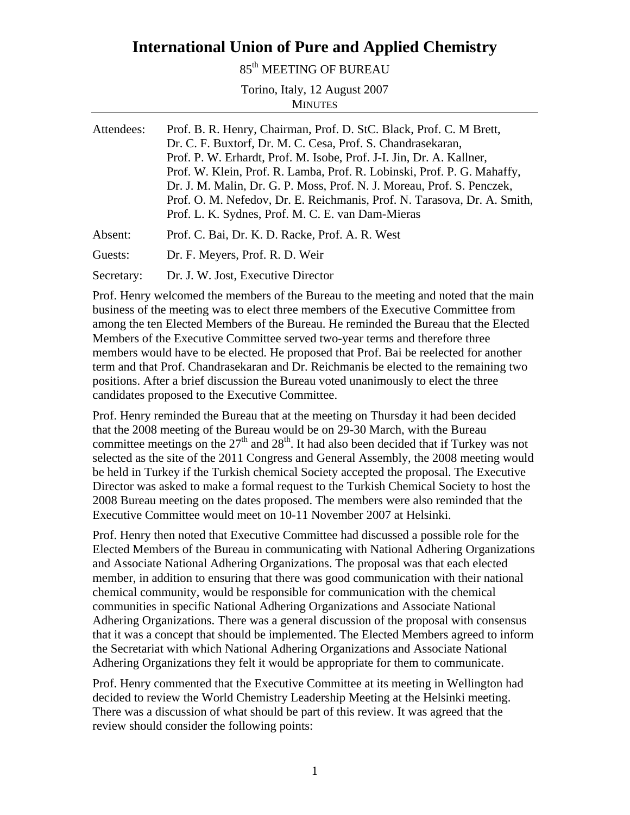## **International Union of Pure and Applied Chemistry**

85<sup>th</sup> MEETING OF BUREAU

Torino, Italy, 12 August 2007 **MINUTES** 

| Attendees: | Prof. B. R. Henry, Chairman, Prof. D. StC. Black, Prof. C. M Brett,<br>Dr. C. F. Buxtorf, Dr. M. C. Cesa, Prof. S. Chandrasekaran,<br>Prof. P. W. Erhardt, Prof. M. Isobe, Prof. J-I. Jin, Dr. A. Kallner,<br>Prof. W. Klein, Prof. R. Lamba, Prof. R. Lobinski, Prof. P. G. Mahaffy,<br>Dr. J. M. Malin, Dr. G. P. Moss, Prof. N. J. Moreau, Prof. S. Penczek,<br>Prof. O. M. Nefedov, Dr. E. Reichmanis, Prof. N. Tarasova, Dr. A. Smith,<br>Prof. L. K. Sydnes, Prof. M. C. E. van Dam-Mieras |
|------------|--------------------------------------------------------------------------------------------------------------------------------------------------------------------------------------------------------------------------------------------------------------------------------------------------------------------------------------------------------------------------------------------------------------------------------------------------------------------------------------------------|
| Absent:    | Prof. C. Bai, Dr. K. D. Racke, Prof. A. R. West                                                                                                                                                                                                                                                                                                                                                                                                                                                  |
| Guests:    | Dr. F. Meyers, Prof. R. D. Weir                                                                                                                                                                                                                                                                                                                                                                                                                                                                  |
| Secretary: | Dr. J. W. Jost, Executive Director                                                                                                                                                                                                                                                                                                                                                                                                                                                               |

Prof. Henry welcomed the members of the Bureau to the meeting and noted that the main business of the meeting was to elect three members of the Executive Committee from among the ten Elected Members of the Bureau. He reminded the Bureau that the Elected Members of the Executive Committee served two-year terms and therefore three members would have to be elected. He proposed that Prof. Bai be reelected for another term and that Prof. Chandrasekaran and Dr. Reichmanis be elected to the remaining two positions. After a brief discussion the Bureau voted unanimously to elect the three candidates proposed to the Executive Committee.

Prof. Henry reminded the Bureau that at the meeting on Thursday it had been decided that the 2008 meeting of the Bureau would be on 29-30 March, with the Bureau committee meetings on the  $27<sup>th</sup>$  and  $28<sup>th</sup>$ . It had also been decided that if Turkey was not selected as the site of the 2011 Congress and General Assembly, the 2008 meeting would be held in Turkey if the Turkish chemical Society accepted the proposal. The Executive Director was asked to make a formal request to the Turkish Chemical Society to host the 2008 Bureau meeting on the dates proposed. The members were also reminded that the Executive Committee would meet on 10-11 November 2007 at Helsinki.

Prof. Henry then noted that Executive Committee had discussed a possible role for the Elected Members of the Bureau in communicating with National Adhering Organizations and Associate National Adhering Organizations. The proposal was that each elected member, in addition to ensuring that there was good communication with their national chemical community, would be responsible for communication with the chemical communities in specific National Adhering Organizations and Associate National Adhering Organizations. There was a general discussion of the proposal with consensus that it was a concept that should be implemented. The Elected Members agreed to inform the Secretariat with which National Adhering Organizations and Associate National Adhering Organizations they felt it would be appropriate for them to communicate.

Prof. Henry commented that the Executive Committee at its meeting in Wellington had decided to review the World Chemistry Leadership Meeting at the Helsinki meeting. There was a discussion of what should be part of this review. It was agreed that the review should consider the following points: